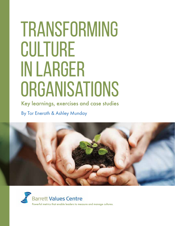# **TRANSFORMING** CULTURE in Larger **ORGANISATIONS**

Key learnings, exercises and case studies By Tor Eneroth & Ashley Munday



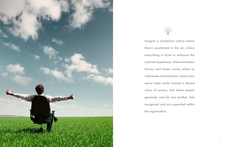

Imagine a workplace culture where there's excitement in the air, where everything is done to enhance the customer experience, where innovation thrives and teams easily adapt to unforeseen circumstances, where your senior team works toward a shared vision of success, and where people genuinely care for one another, feel recognised and are supported within the organisation.

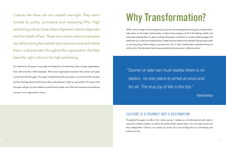Cultures like these are not created overnight. They aren't formed by policy, procedure and measuring KPIs. High performing cultures have values alignment, mission alignment and low levels of fear. These are cultures where employees are able to bring their beliefs and values to work and where there's a shared view, throughout the organisation, that they have the right culture to be high performing.

Our intention for this paper is to provide an introduction to transforming culture in larger organisations, those with more than 1000 employees. We've seen organisations transform their cultures and ignite success time and time again. This paper includes three brief case studies, an overview of the concepts and key learnings about transforming culture, and exercises to help you get started. Our hope is that this paper will give you the confidence and the tools to begin one of the most important and catalysing journeys in your organisation's history.

## Why Transformation?

While culture change involves engineering a process and managing the moving parts, transformation takes place on the inside. Transformation involves human beings and all of the feelings, beliefs and values that motivate them. It's about working with people's motivations to create something bigger and better than you could have imagined alone. It takes time and needs to be cultivated, like growing a plant or any living thing. While change is a process from 'this' to 'that,' transformation unleashes the best of what can be. Transformation frees human potential and accesses our collective wisdom.

### CULTURE IS A JOURNEY, NOT A DESTINATION

Throughout this paper, we refer to the "culture journey". Leaders on a transformational path need to respond to market conditions as well as the needs of their internal teams. You will create visions and then reshape them. Culture is not a place you arrive, but a way of being that you will develop and evolve over time.

"Sooner or later we must realise there is no station, no one place to arrive at once and for all. The true joy of life is the trip."

[–Robert Hastings](http://robertjhastings.net)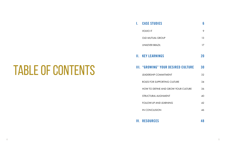#### **I.** [CASE STUDIES](#page-4-0) 6

**VOLVO IT** 

[OLD MUTUAL GROUP](#page-7-0)

[UNILEVER BRAZIL](#page-9-0)

#### **II. KEY LEARNINGS**

#### **III. "GROWING" YOUR**

LEADERSHIP COMMITN

ROLES FOR SUPPORTIN

HOW TO DEFINE AND

**STRUCTURAL ALIGNME** 

FOLLOW-UP AND LEARI

[IN CONCLUSION](#page-24-0)

IV. [RESOURCES 48](#page-25-0)

# TABLE OF CONTENTS

|                          | Ψ  |
|--------------------------|----|
|                          | 9  |
|                          | 13 |
|                          | 17 |
|                          | 20 |
| <b>R DESIRED CULTURE</b> | 30 |
| <b>AENT</b>              | 32 |
| <b>IG CULTURE</b>        | 34 |
| <b>GROW YOUR CULTURE</b> | 36 |
| ENT                      | 40 |
| <b>NING</b>              | 42 |
|                          | 46 |
|                          |    |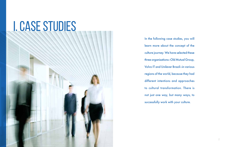# <span id="page-4-0"></span>I. CASE STUDIES

In the following case studies, you will learn more about the concept of the culture journey. We have selected these three organisations—Old Mutual Group, Volvo IT and Unilever Brazil—in various regions of the world, because they had different intentions and approaches to cultural transformation. There is not just one way, but many ways, to successfully work with your culture.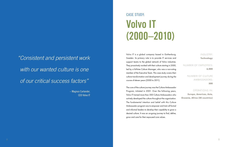Volvo IT is a global company based in Gothenburg, Sweden. Its primary role is to provide IT services and support teams to the global network of Volvo industries. They proactively worked with their culture starting in 2000, led by a full-time Culture Manager, who was a non-voting member of the Executive Team. This case study covers their culture transformation and development journey during the course of eleven years (2000 to 2011).

The core of the culture journey was the Culture Ambassador Program, initiated in 2001. Over the following years, Volvo IT trained more than 500 Culture Ambassadors who actively developed the culture throughout the organisation. The fundamental intention and belief with this Culture Ambassador program was to empower and train all formal and informal leaders to develop their capability to grow a desired culture. It was an on-going journey to find, define, grow and care for their espoused core values.

INDUSTRY:

**Technology** NUMBER OF EMPLOYEES: **6,000** NUMBER OF CULTURE AMBASSADORS: **500**

OPERATIONS IN: **Europe, Americas, Asia, Oceania, Africa (20 countries)**

### CASE STUDY: Volvo IT (2000–2010)

"Consistent and persistent work with our wanted culture is one of our critical success factors"

> <span id="page-5-0"></span>– Magnus Carlander, CEO Volvo IT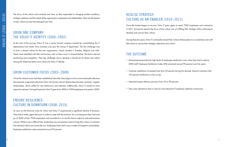The focus of the culture work evolved over time, as they responded to changing market conditions, strategic ambitions and the needs of the organisation, employees and stakeholders. Here are the themes in their culture journey that emerged over time:

### GROW ONE COMPANY: THE VOLVO IT IDENTITY (2000–2002)

At the start of the journey, Volvo IT was a newly formed company created by consolidating the IT departments from seven Volvo business units plus the Group IT department. The first challenge was to form a shared culture for the new organisation, mainly located in Sweden, Belgium and USA. Teams were identified with their old business units so there wasn't a shared identity. This led to internal positioning and competition. Their key challenge was to develop a shared set of values and culture among the dispersed teams and create one Volvo IT identity.

#### GROW CUSTOMER FOCUS (2003–2008)

Once the cultural norms had been established internally, they began to focus more externally. Because they became a separate entity from Volvo, the former internal relationships became customer/ supplier relationships, which called for new behaviours and attitudes. Additionally, Volvo IT started to have external customers. During this period, Volvo IT grew from 3000 to 7000 employees at its peak in 2009.

### ENSURE RESILIENCE: CULTURE IN DOWNTURN (2008–2010)

As soon as the financial crises hit, Volvo and Volvo IT experienced a significant decline of business. They had to make urgent decisions in order to cope with the situation. As a consequence they had to let go of 2000 of their 7000 employees and consultants in six months time to adjust to reduced business volume. While it was a difficult time, leadership was conscientious about living their values, to maintain their desired culture and not erode trust. Employees knew that it was a matter of long-term sustainability. Employee satisfaction rates remained around 90 percent.

### REALISE STRATEGY: CULTURE AS AN ENABLER (2010–2011)

Once the market began to recover, Volvo IT grew again to reach 7000 employees and contractors in 2011. During this period, the focus of the culture was on fulfiling their strategy while continuing to develop and care for their culture.

During these ten years, Volvo IT continually trained their Culture Ambassadors to co-creatively work with their teams to secure their strategic objectives and culture.

#### THE OUTCOME

» Maintained extraordinarily high levels of employee satisfaction, even when they had to reduce 2000 staff. Employee Satisfaction Index (ESI) remained around 90 percent over five years.

» Customer satisfaction increased more than 30 percent during this decade. Several customers had

- 
- 100 percent satisfaction on the survey.
- » Improved project delivery precision from 55 to 90 percent.
- » They were selected as best in class for most attractive IT employer (rated by Universum).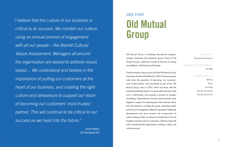### CASE STUDY: Old Mutual Group

INDUSTRY: **Financial Services**

#### NUMBER OF EMPLOYEES: **57,480**

OPERATIONS IN: **Africa Asia Europe North America South America**

Old Mutual Group is a leading international long-term savings, investment and protection group. Three of Old Mutual Group's well-known brands at the time of writing are Nedbank, Old Mutual and Skandia.

Transforming the culture across all of the Old Mutual Group businesses started with Nedbank in 2005. It became groupwide when the aspiration of becoming "our customers' most trusted partner" was articulated as part of the Old Mutual Group vision in 2010. Work was done with the executive leadership teams to increase self-awareness, build trust in relationships and cascade a practice of strategic storytelling. Organisational structures and processes were aligned to support the development of the desired culture from the top-down, including the group operating model, performance management, selection assessment, leadership development and, most recently, the incorporation of cultural entropy levels (a measure of dysfunction) into the long-term incentive plan for executives. Staff has been left with no doubt that the organisation is taking its values and culture seriously.

"I believe that the culture of our business is critical to its success. We monitor our culture using an annual process of engagement with all our people—the Barrett Cultural Values Assessment. Managers all around the organisation are tasked to address issues raised… We understand and believe in the importance of putting our customers at the heart of our business, and creating the right culture and behaviours to support our vision of becoming our customers' most trusted partner. This will continue to be critical to our success as we head into the future."

> <span id="page-7-0"></span>–Julian Roberts, CEO Old Mutual PLC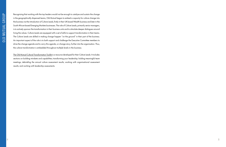Recognising that working with the top leaders would not be enough to catalyse and sustain the change in the geographically dispersed teams, Old Mutual began to embed a capacity for culture change into the business via the introduction of Culture Leads, firstly in their UK-based Wealth business and later in the South African-based Emerging Markets businesses. The role of Culture Leads, primarily senior managers, is to actively sponsor the transformation in their business units and to stimulate deeper dialogues around living the values. Culture Leads are equipped with a set of skills to support transformation in their teams. The Culture Leads are skilled in making change happen "on the ground" in their part of the business. An important aspect of the role is to both support and challenge the Executive Committee members to drive the change agenda and to carry this agenda, or change story, further into the organisation. Thus, the culture transformation is embedded throughout multiple levels in the business.

[The Old Mutual Cultural Transformation Toolkit i](http://www.valuescentre.com/uploads/2014-03-04/TCLO1%20OMG%20Toolkit.pdf)s a resource developed for their Culture Leads. It includes sections on building mindsets and capabilities; transforming your leadership; holding meaningful team meetings; debriefing the annual culture assessment results; working with organisational assessment results; and working with leadership assessments.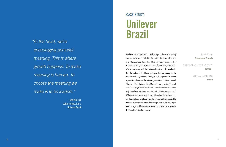### CASE STUDY: Unilever Brazil

### INDUSTRY: **Consumer Goods** NUMBER OF EMPLOYEES: **10000+**  OPERATIONS IN: **Brazil**

Unilever Brazil had an incredible legacy built over eighty years, however, in 2004–05, after decades of strong growth, revenues slowed and the business was in need of renewal. In early 2008, Kees Kruythoff, the newly appointed Chairman, along with the Unilever Brazil Board, launched a transformational effort to reignite growth. They recognised a need to not only address strategic challenges and manage operations, but to address the organisational culture as well. They had five big thoughts: (1) accelerate growth; (2) profit out of scale; (3) build sustainable transformation in society; (4) identify capabilities needed to build the business; and (5) take a 'merged rivers' approach—cultural transformation and operations (strategy/ Key Performance Indicators), like the two Amazonian rivers that merge, had to be managed in an integrated fashion—not either or, or even side by side, but together, simultaneously.

"At the heart, we're encouraging personal meaning. This is where growth happens. To make meaning is human. To choose the meaning we make is to be leaders."

> <span id="page-9-0"></span>–Rob Mallick, Culture Consultant, Unilever Brazil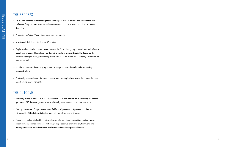### THE PROCESS

- » Developed a shared understanding that the concept of a linear process can be outdated and ineffective. Truly dynamic work with cultures is very much in the moment and allows for human dynamics.
- » Conducted a Cultural Values Assessment every six months.
- » Maintained disciplined attention for 36 months.
- » Emphasised that leaders create culture. Brought the Board through a journey of personal reflection about their values and the culture they desired to create at Unilever Brazil. The Board led the Executive Team (ET) through the same process. And then, the ET led all 250 managers through the process, as well.
- » Established rituals and meaning: regular consistent practices and time for reflection on key espoused values.
- » Continually reframed needs, i.e. when there was an overemphasis on safety, they taught the need for risk taking and vulnerability.

#### THE OUTCOME

- » Revenue grew by 3 percent in 2008, 7 percent in 2009 and into the double digits by the second quarter in 2010. Revenue growth was also driven by increases in market share, not price.
- » Entropy, the degree of unproductive focus, fell from 37 percent to 19 percent, and then to 10 percent in 2010. Entropy in the top team fell from 31 percent to 8 percent.
- » From a culture characterised by caution, short-term focus, internal competition, and consensus, people now experience a business with long-term perspective, shared vision, teamwork, and a strong orientation toward customer satisfaction and the development of leaders.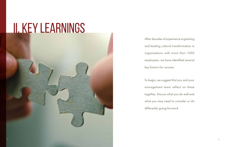# II. Key Learnings

After decades of experience organising and leading cultural transformation in organisations with more than 1000 employees, we have identified several key factors for success.

To begin, we suggest that you and your management team reflect on these together. Discuss what you do well and what you may need to consider or do differently going forward.

<span id="page-11-0"></span>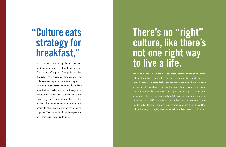### There's no "right" culture, like there's not one right way to live a life.

Many of us are looking for the best, most effective or proven successful culture. There isn't a model for what a corporate culture should be. In a time when there is a great deal of benchmarking and many thought leaders sharing insights, you have to develop the right culture for your organisation. Corporations are living systems. Start by understanding (1) the mission, vision and values of your organisation; (2) your personal needs and what motivates you; and (3) what behaviours and actions are needed to create the desired culture that supports your strategic ambitions. Keep in mind that culture is always changing in response to internal and external influences.

### "Culture eats strategy for breakfast,"

is a remark made by Peter Drucker and popularised by the President of Ford Motor Company. The point is this if you don't have a strong culture, you won't be able to effectively execute your strategy in a sustainable way. At the same time, if you don't have the focus and direction of a strategy, your culture won't survive. Your current culture—the way things are done around here—is the enabler, the power centre that provides the energy to align people to strive for a shared objective. This culture should be the expression of your mission, vision and values.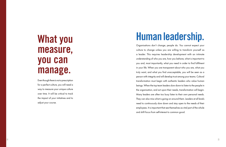### What you measure, you can manage.

Even though there is not a prescription for a perfect culture, you will need a way to measure your unique culture over time. It will be critical to track the impact of your initiatives and to adjust your course.

### Human leadership.

Organisations don't change; people do. You cannot expect your culture to change unless you are willing to transform yourself as a leader. This requires leadership development with an intimate understanding of who you are, how you behave, what is important to you and, most importantly, what you need in order to find fulfilment in your life. When you are transparent about who you are, what you truly want, and what you find unacceptable, you will be seen as a person with integrity and will develop trust among your teams. Cultural transformation must begin with authentic leaders who value human beings. When the top team leaders slow down to listen to the people in the organisation, and act upon their needs, transformation will begin. Many leaders are often too busy listen to their own personal needs. They can also miss what is going on around them. Leaders at all levels need to continuously slow down and stay open to the needs of their employees. It is important that see themselves as vital part of the whole and shift focus from self-interest to common good.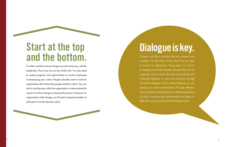## Dialogue is key.

Culture is not like a machine that you construct and manage. It is more like a living plant that you have to nurture. To cultivate this "living entity," it is crucial to engage and involve people, because they are the expression of your culture. The only way to achieve this is through dialogue, or even more precisely, through co-creative dialogue. Just by inviting dialogue, you are starting your culture transformation. Through reflection and conversation, people develop a collective awareness of what's functional and dysfunctional and begin to define the way forward toward the desired culture.

### Start at the top and the bottom.

It is often said that culture change must start at the top, with the leadership. This is true, but not the whole truth. You also need to create programs and opportunities to involve employees in developing your culture. People naturally want to work for organisations that value their people and their culture. You can start in small groups within the organisation to demonstrate the impact of culture change on team performance. However, for organisation-wide change, you'll need to empower leaders at all levels to live the desired culture.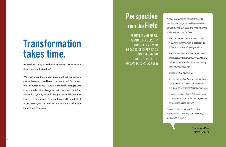### **Transformation** takes time.

PLEUNTJE VAN MEER, GLOBAL LEADERSHIP CONSULTANT WITH DECADES OF EXPERIENCE TRANSFORMING CULTURE IN LARGE ORGANISATIONS, AGREES:

As Stephen Covey is attributed as saying, "With people, slow is fast and fast is slow."

We live in a world where speed is revered. When it comes to culture, however, speed is not a success factor! This process involves human beings. Doing it too fast is like trying to jump from one side of the change curve to the other. It just does not work. If you try to push and go too quickly, the next time you face change, your employees will be reluctant. So, invest time, and be persistent and consistent, rather than trying move with speed.

### **Perspective from the Field**

"I have learned some important lessons over the past ten years working on business transformation with large and medium-sized, multi-national organisations:

- » The commitment of the leaders is vital. A leader-led intervention is necessary to shift the mindsets of the organisation.
- » The Human Resource Department and those responsible for strategy need to fully partner with the leadership in co-creating the culture change story.
- » Transformation takes time.
- » You cannot treat cultural transformation as a project with deadlines and deliverables. It is more of an emergent learning process.
- » Success requires clarity of direction, and healthy internal and external interpersonal connections based on trust.

Only when this happens will people in the organisation feel they can fully bring themselves to work."

> Pleuntje Van Meer Partner, Synnova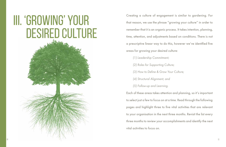# <span id="page-16-0"></span>III. 'Growing' Your DESIRED CULTURE

Creating a culture of engagement is similar to gardening. For that reason, we use the phrase "growing your culture" in order to remember that it is an organic process. It takes intention, planning, time, attention, and adjustments based on conditions. There is not a prescriptive linear way to do this, however we've identified five areas for growing your desired culture: (1) Leadership Commitment; (2) Roles for Supporting Culture; (3) How to Define & Grow Your Culture; (4) Structural Alignment; and (5) Follow-up and Learning. Each of these areas takes attention and planning, so it's important to select just a few to focus on at a time. Read through the following pages and highlight three to five vital activities that are relevant to your organisation in the next three months. Revisit the list every three months to review your accomplishments and identify the next vital activities to focus on.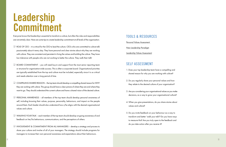### Leadership Commitment

Everyone knows that leadership is essential to transform a culture, but often the roles and responsibilities are not entirely clear. Here are some tips to create leadership commitment at all levels of the organisation.

- $\Box$  ROLE OF CEO it is critical for the CEO to lead the culture. CEOs who are committed to culture talk passionately about it every day. They have personal and clear stories about why they are working with culture. They are consistent and persistent in living the values and building the culture. They have low tolerance with people who are not working to better the culture. They walk their talk!
- $\Box$  BOARD COMMITMENT you will need buy-in and support from the most senior reporting team or structure for organisation-wide success. This is often a corporate board. Organisational priorities are typically established from the top and culture must be included, especially since it is so critical and needs attention over a long period of time.
- COMPELLING SHARED REASON the top team should develop a compelling shared reason for WHY they are working with culture. This group should have a clear picture of where they are and where they want to go. They should understand the current culture and have a shared vision of the desired culture.
- PERSONAL AWARENESS all members of the top team should develop personal awareness of self, including knowing their values, purpose, personality, behaviours, and impact on the people around them. Each leader should also understand how s/he aligns with the desired organisational values and culture.
- $\Box$  WALKING YOUR TALK each member of the top team should develop on-going awareness of and feedback on her/his behaviours, communications, and the perceptions of others.
- <span id="page-17-0"></span> $\Box$  INVOLVEMENT & COMMITMENT FROM ALL MANAGERS - develop a strategy and process to share your culture and involve of all of your managers. The strategy should include programs for managers to increase their own personal awareness and expectations about their behaviours.

#### TOOLS & RESOURCES

[Personal Values Assessment](http://www.valuescentre.com/products__services/?sec=personal_values_assessment_%28pva%29) 

[New Leadership Paradigm](http://www.newleadershipparadigm.com/)

[Leadership Values Assessment](http://www.valuescentre.com/products__services/?sec=leadership_values_assessment_(lva))

#### SELF ASSESSMENT

- 1. Does your top leadership team have a compelling and shared reason for why you are working with culture?
- 2. Do you regularly share your personal values and how they relate to the desired culture of your organisation?
- 3. Are you considering your organisational values as you make decisions, as a way to grow your organisational culture?
- 4. When you give presentations, do you share stories about values and culture?
- 5. Do you invite feedback on your behaviour as a way to transform and better 'walk your talk'? Do you have ways to measure this? Are you truly open to the feedback and do you take action after you receive it?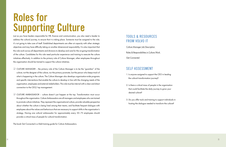### Roles for Supporting Culture

Just as you have leaders responsible for HR, finance and communication, you also need a leader to address the cultural journey, to ensure that it is taking place. Someone must be assigned to the role; it's not going to take care of itself. Established departments are often at capacity with other strategic objectives and may have difficulty taking on another dimensional responsibility. It is also important that this role work across all departments and divisions to develop and care for the on-going transformation of the culture. Candidates for this role need particular experience and training to execute the culture initiatives effectively. In addition to the primary role of Culture Manager, other employees throughout the organisation should be trained to support the culture initiatives.

- $\Box$  CULTURE MANAGER the primary role of the Culture Manager is to be the "guardian" of the culture; not the designer of the culture, nor the primary promoter, but the person who keeps track of what is happening in the culture. The Culture Manager also develops organisation-wide programs and specific interventions that enable the culture to develop in line with the changing needs of the organisation, employees and external stakeholders. This role must be internal with a clear and direct connection to the CEO/ top management.
- CULTURE AMBASSADOR culture doesn't just happen at the top. Transformation must occur throughout the organisation. Culture Ambassadors are all managers and employees who are trained to promote culture initiatives. They represent the organisational culture, provide valuable perspective about whether the culture is being lived among their teams, and facilitate frequent dialogue with employees about the values and behaviours that are necessary to support shifts in the organisation's strategy. Having one cultural ambassador for approximately every 50–75 employees should provide a critical mass of people for cultural transformation.

<span id="page-18-0"></span>The book Get Connected is a field training guide for Culture Ambassadors.

### TOOLS & RESOURCES FROM VOLVO IT

[Culture Manager Job Description](http://www.valuescentre.com/uploads/2014-03-04/TCLO2%20Culture%20Mgr%20Job.pdf) 

[Roles & Responsibilities in Culture Work](http://www.valuescentre.com/uploads/2014-03-10/Roles%20in%20Transforming%20Culture.pdf) 

[Get Connected](http://www.valuescentre.com/resources/?sec=get_connected) 

#### SELF ASSESSMENT

- 1. Is anyone assigned to support the CEO in leading the cultural transformation journey?
- 2. Is there a critical mass of people in the organisation that could facilitate the daily journey to grow your desired culture?
- 3. Do you offer tools and training to support individuals in hosting the dialogue needed to transform the culture?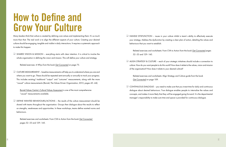### How to Define and Grow Your Culture

Many leaders think that culture is created by defining core values and implementing them. It's so much more than that. The real work is to align the different aspects of your culture. Creating your desired culture should be engaging, tangible and visible in daily interactions. It requires a systematic approach to make this happen.

 $\Box$  SHARED VISION & MISSION - everything starts with clear intention. It is critical to involve the whole organisation in defining the vision and mission. This will define your culture and strategy.

 $\Box$  CULTURE MEASUREMENT – baseline measurements will help you to understand where you are and where you want to go. These should be repeated semi-annually or annually to track your progress. This includes existing/ traditional "output" and "outcome" measurements, along with the more "causal" culture measurements (Barrett, The Values Driven Organization, 2013, pages 43–44).

Related exercises: 4 Whys from the book [Get Connected](http://www.valuescentre.com/resources/?sec=get_connected&sub=get_connected:_the_book) on page 75.

 [Barrett Values Centre's Cultural Values Assessment](http://www.valuescentre.com/products__services/?sec=cultural_values_assessment_(cva)) is one of the most comprehensive "causal" measurements available.

 DEFINE WANTED BEHAVIOURS/ACTIONS – the results of the culture measurement should be shared with teams throughout the organisation. Groups then dialogue about the results to reflect on strengths, weaknesses and opportunities. In these workshops, teams define wanted norms and behaviours.

<span id="page-19-0"></span> Related exercises and worksheets: From CVA to Action from the book [Get Connected](http://www.valuescentre.com/resources/?sec=get_connected&sub=get_connected:_the_book)  pages 52–55 and 129–145.

 HANDLE DYSFUNCTION – issues in your culture inhibit a team's ability to effectively execute your strategy. Address the dysfunction by creating a clear plan of action, detailing the values and

Related exercises and worksheets: From CVA to Action from the book [Get Connected](http://www.valuescentre.com/resources/?sec=get_connected&sub=get_connected:_the_book) pages

- behaviours that you want to establish.
	- 52–55 and 129–145.
- of the organisation? How does it relate to your desired culture?

 ALIGN STRATEGY & CULTURE – each of your strategic initiatives should include a connection to culture. How do you want people to do this work? How does it relate to the values, vision and mission

Related exercises and worksheets: Align Strategy and Culture guide from the book

[Get Connected](http://www.valuescentre.com/resources/?sec=get_connected&sub=get_connected:_the_book) on page 109.

 CONTINUOUS DIALOGUE – you need to make sure that you invest time for daily and continuous dialogue about desired behaviours. True dialogue enables people to internalise the values and concepts, and makes it more likely that they will be engaged going forward. It is the departmental manager's responsibility to make sure time and space is provided for continuous dialogue.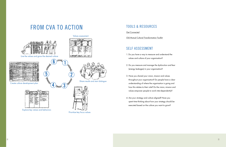#### [Get Connected](http://www.valuescentre.com/resources/?sec=get_connected)

[Old Mutual Cultural Transformation Toolkit](http://www.valuescentre.com/uploads/2014-03-04/TCLO1%20OMG%20Toolkit.pdf) 

#### SELF ASSESSMENT

- 1. Do you have a way to measure and understand the values and culture of your organisation?
- 2. Do you measure and manage the dysfunction and fear (energy leakages) in your organisation?
- 3. Have you shared your vision, mission and values throughout your organisation? Do people have a clear understanding of where the organisation is going and how this relates to their role? Do the vision, mission and values empower people to work inter-dependently?
- 4. Are your strategy and culture aligned? Have you spent time thinking about how your strategy should be executed based on the culture you want to grow?

Create culture development plan Share results and start dialogue 2

Live the values and grow the desired culture

Values assessment



Explore key values and behaviors

Prioritize key focus values

1

 $\overline{\mathbf{3}}$ 

5

### FROM CVA TO ACTION TOOLS & RESOURCES

6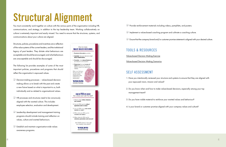## Structural Alignment

You must consistently work together on culture with the various parts of the organisation including HR, communications, and strategy, in addition to the top leadership team. Working collaboratively on culture is extremely important and easily missed. You need to ensure that the structures, systems, and communications about your culture are aligned.

Structures, policies, procedures and incentives are a reflection of the value systems of the current leaders, and the institutional legacy of past leaders. They dictate what behaviours are acceptable and should be encouraged, and what behaviours are unacceptable and should be discouraged.

- $\Box$  Decision-making processes values-based decisionmaking allows us to break with the past and create a new future based on what is important to us, both individually and as related to organisational values.
- $\Box$  HR processes and structures need to be consciously aligned with the wanted culture. This includes employee selection, evaluation and development.
- $\Box$  Leadership development and management training programs should include training and reflection on values, culture and wanted behaviours.
- <span id="page-21-0"></span> $\Box$  Establish and maintain organisation-wide values awareness programs.

The following list provides examples of some of the most important policies, procedures and programs that should reflect the organisation's espoused values.

### TOOLS & RESOURCES

[Values-based Decision Making Exercise](http://www.valuescentre.com/uploads/2014-03-04/TCLO3%20Values%20Based%20Management%20Exercise.pdf) [Values-based Decision Making Scenarios](http://www.valuescentre.com/uploads/2014-03-04/TCLO4%20Values%20Based%20Management%20Situations.pdf)

### SELF ASSESSMENT

1. Have you intentionally reviewed your structure and systems to ensure that they are aligned with

- your espoused vision, mission and values?
- 2. Do you know when and how to make values-based decisions, especially among your top management team?
- 3. Do you have visible material to reinforce your wanted values and behaviour?
- 4. Is your brand or customer promise aligned with your company values and culture?

 $\Box$  Ensure that the company brand and/or customer promise statement is aligned with your desired culture.



 $\Box$  Provide reinforcement materials including videos, pamphlets, and posters.

- $\Box$  Implement a values-based coaching program and cultivate a coaching culture.
-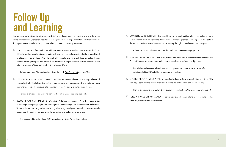### Follow Up and Learning

Transforming culture is an iterative process. Building feedback loops for learning and growth is one of the most commonly forgotten about steps in the journey. These steps will help you to learn where to focus your attention and also let you know when you need to correct your course.

 DAILY FEEDBACK – feedback is an effective way to visualise and manifest a desired culture. "Effective feedback enables the receiver to walk away understanding exactly what he or she did and what impact it had on them. When the result is this specific and this direct, there is a better chance that the person getting the feedback will be motivated to begin, continue or stop behaviours that affect performance" (Weitzel, Feedback that Works, 2000)

Related exercises: Effective Feedback from the book [Get Connected](http://www.valuescentre.com/resources/?sec=get_connected&sub=get_connected:_the_book) on page 173.

 $\Box$  QUARTERLY CULTURE REPORT – there must be a way to track and learn from your culture journey. This is different from the traditional linear ways to measure progress. The purpose is to create a shared picture of each team's current culture journey through data collection and dialogue.

 $\Box$  ROLLING 3 MONTHS PLAN – with focus, actions and dates. This plan helps the top team and the

 REFLECTION AND "LESSONS LEARNED" MEETINGS – we need invest time to stop, reflect and learn collectively. This helps us to develop shared meaning and an understanding about what works and what does not. The purpose is to enhance your team's ability to transform and learn.

Related exercises: Team Learning from the book [Get Connected](http://www.valuescentre.com/resources/?sec=get_connected&sub=get_connected:_the_book) on page 165.

 $\Box$  A CULTURE DEVELOPMENT PLAN - with desired values, actions, responsibilities and dates. This plan helps each team to review, focus and manage the cultural transformational journey.

 $\Box$  FOLLOW UP CULTURE ASSESSMENT - define how and when you intend to follow up to see the

 RECOGNITION, CELEBRATION & REWARDS (Performance/Behaviour Awards) – people like to be caught doing things right. This is contagious, so the more you do this the more it will spread. Traditionally we are not good at celebrating what is right and good around us. By intentionally focusing on the positive, we also grow the behaviour and culture we want to see.

<span id="page-22-0"></span>Recommended book for ideas: [1001 Ways to Reward Employees](http://www.amazon.com/1001-Ways-Reward-Employees-Nelson-ebook/dp/B00245A4PK), Bob Nelson.

Related exercises: Culture Report from the book [Get Connected](http://www.valuescentre.com/resources/?sec=get_connected&sub=get_connected:_the_book) on page 185.

Culture Manager to review, focus and manage the cultural transformational journey.

 This whole article with its related activities and questions is meant to serve as base for building a Rolling 3 Month Plan to manage your culture.

There is an example of a Culture Development Plan in the book [Get Connected](http://www.valuescentre.com/resources/?sec=get_connected&sub=get_connected:_the_book) on page 54.

effect of your efforts and the evolution.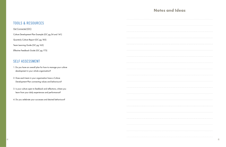#### **Notes**

#### TOOLS & RESOURCES

#### **[Get Connected \(GC\)](http://www.valuescentre.com/resources/?sec=get_connected&sub=get_connected:_the_book)**

Culture Development Plan Example (GC pg 54 and 141)

Quarterly Culture Report (GC pg 185)

Team Learning Guide (GC pg 165)

Effective Feedback Guide (GC pg 173)

#### SELF ASSESSMENT

- 1. Do you have an overall plan for how to manage your culture development in your whole organisation?
- 2. Does each team in your organisation have a Culture Development Plan connecting values and behaviours?
- 3. Is your culture open to feedback and reflections, where you learn from your daily experiences and performance?
- 4. Do you celebrate your successes and desired behaviours?

| and Ideas |
|-----------|
|           |
|           |
|           |
|           |
|           |
|           |
|           |
|           |

|  | <b>ALCOHOL</b> |
|--|----------------|
|  |                |
|  |                |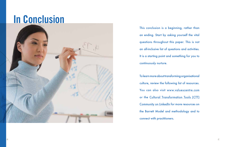This conclusion is a beginning, rather than an ending. Start by asking yourself the vital questions throughout this paper. This is not an all-inclusive list of questions and activities. It is a starting point and something for you to continuously nurture. To learn more about transforming organisational

culture, review the following list of resources. You can also visit www.valuescentre.com or the [Cultural Transformation Tools \(CTT\)](http://www.linkedin.com/groups?home=&gid=1489507&trk=groups_most_popular-h-logo) [Community on LinkedIn](http://www.linkedin.com/groups?home=&gid=1489507&trk=groups_most_popular-h-logo) for more resources on the Barrett Model and methodology and to connect with practitioners.

## In Conclusion

<span id="page-24-0"></span>